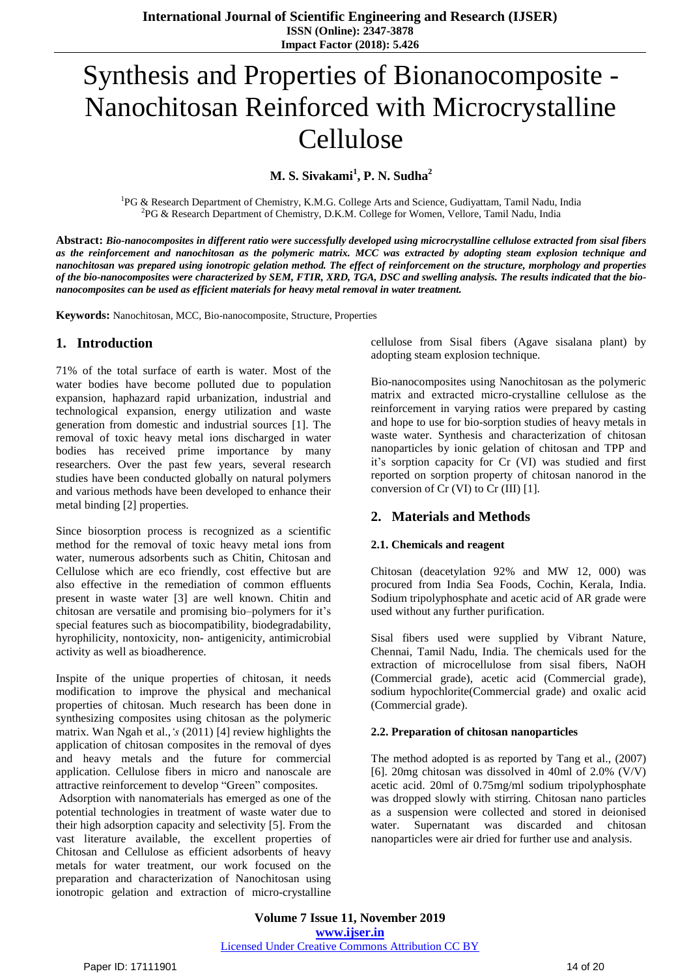# Synthesis and Properties of Bionanocomposite - Nanochitosan Reinforced with Microcrystalline Cellulose

**M. S. Sivakami<sup>1</sup> , P. N. Sudha<sup>2</sup>**

<sup>1</sup>PG & Research Department of Chemistry, K.M.G. College Arts and Science, Gudiyattam, Tamil Nadu, India <sup>2</sup>PG & Research Department of Chemistry, D.K.M. College for Women, Vellore, Tamil Nadu, India

Abstract: Bio-nanocomposites in different ratio were successfully developed using microcrystalline cellulose extracted from sisal fibers as the reinforcement and nanochitosan as the polymeric matrix. MCC was extracted by adopting steam explosion technique and nanochitosan was prepared using ionotropic gelation method. The effect of reinforcement on the structure, morphology and properties of the bio-nanocomposites were characterized by SEM, FTIR, XRD, TGA, DSC and swelling analysis. The results indicated that the bio*nanocomposites can be used as efficient materials for heavy metal removal in water treatment.*

**Keywords:** Nanochitosan, MCC, Bio-nanocomposite, Structure, Properties

## **1. Introduction**

71% of the total surface of earth is water. Most of the water bodies have become polluted due to population expansion, haphazard rapid urbanization, industrial and technological expansion, energy utilization and waste generation from domestic and industrial sources [1]. The removal of toxic heavy metal ions discharged in water bodies has received prime importance by many researchers. Over the past few years, several research studies have been conducted globally on natural polymers and various methods have been developed to enhance their metal binding [2] properties.

Since biosorption process is recognized as a scientific method for the removal of toxic heavy metal ions from water, numerous adsorbents such as Chitin, Chitosan and Cellulose which are eco friendly, cost effective but are also effective in the remediation of common effluents present in waste water [3] are well known. Chitin and chitosan are versatile and promising bio–polymers for it's special features such as biocompatibility, biodegradability, hyrophilicity, nontoxicity, non- antigenicity, antimicrobial activity as well as bioadherence.

Inspite of the unique properties of chitosan, it needs modification to improve the physical and mechanical properties of chitosan. Much research has been done in synthesizing composites using chitosan as the polymeric matrix. Wan Ngah et al.,*'s* (2011) [4] review highlights the application of chitosan composites in the removal of dyes and heavy metals and the future for commercial application. Cellulose fibers in micro and nanoscale are attractive reinforcement to develop "Green" composites.

Adsorption with nanomaterials has emerged as one of the potential technologies in treatment of waste water due to their high adsorption capacity and selectivity [5]. From the vast literature available, the excellent properties of Chitosan and Cellulose as efficient adsorbents of heavy metals for water treatment, our work focused on the preparation and characterization of Nanochitosan using ionotropic gelation and extraction of micro-crystalline

cellulose from Sisal fibers (Agave sisalana plant) by adopting steam explosion technique.

Bio-nanocomposites using Nanochitosan as the polymeric matrix and extracted micro-crystalline cellulose as the reinforcement in varying ratios were prepared by casting and hope to use for bio-sorption studies of heavy metals in waste water. Synthesis and characterization of chitosan nanoparticles by ionic gelation of chitosan and TPP and it's sorption capacity for Cr (VI) was studied and first reported on sorption property of chitosan nanorod in the conversion of Cr (VI) to Cr (III) [1].

# **2. Materials and Methods**

#### **2.1. Chemicals and reagent**

Chitosan (deacetylation 92% and MW 12, 000) was procured from India Sea Foods, Cochin, Kerala, India. Sodium tripolyphosphate and acetic acid of AR grade were used without any further purification.

Sisal fibers used were supplied by Vibrant Nature, Chennai, Tamil Nadu, India. The chemicals used for the extraction of microcellulose from sisal fibers, NaOH (Commercial grade), acetic acid (Commercial grade), sodium hypochlorite(Commercial grade) and oxalic acid (Commercial grade).

#### **2.2. Preparation of chitosan nanoparticles**

The method adopted is as reported by Tang et al., (2007) [6]. 20mg chitosan was dissolved in 40ml of  $2.0\%$  (V/V) acetic acid. 20ml of 0.75mg/ml sodium tripolyphosphate was dropped slowly with stirring. Chitosan nano particles as a suspension were collected and stored in deionised water. Supernatant was discarded and chitosan nanoparticles were air dried for further use and analysis.

**Volume 7 Issue 11, November 2019 www.ijser.in** Licensed Under Creative Commons Attribution CC BY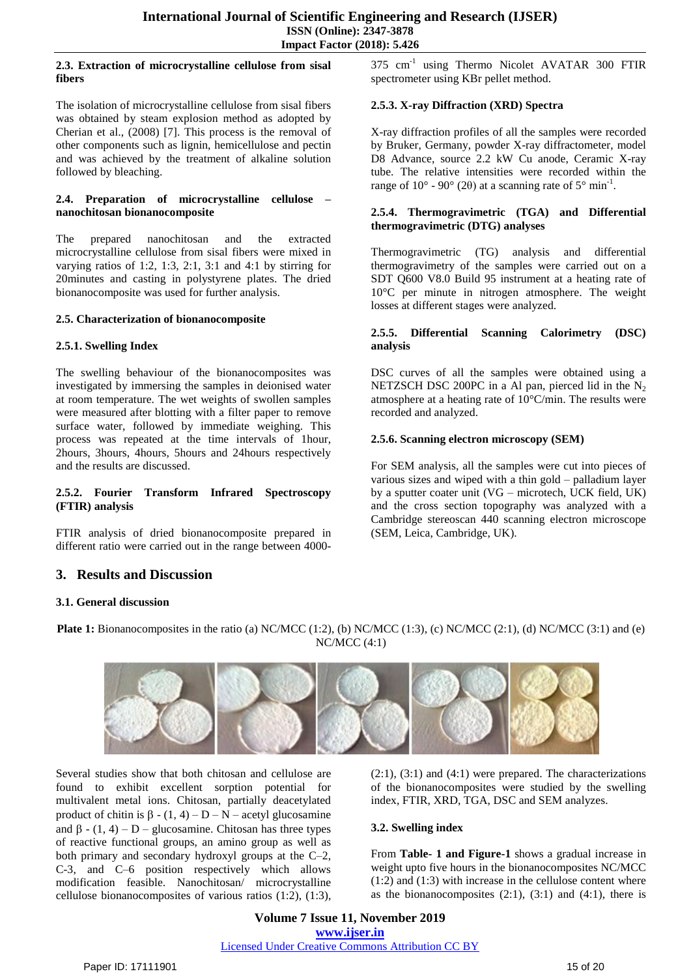#### **2.3. Extraction of microcrystalline cellulose from sisal fibers**

The isolation of microcrystalline cellulose from sisal fibers was obtained by steam explosion method as adopted by Cherian et al., (2008) [7]. This process is the removal of other components such as lignin, hemicellulose and pectin and was achieved by the treatment of alkaline solution followed by bleaching.

## **2.4. Preparation of microcrystalline cellulose – nanochitosan bionanocomposite**

The prepared nanochitosan and the extracted microcrystalline cellulose from sisal fibers were mixed in varying ratios of 1:2, 1:3, 2:1, 3:1 and 4:1 by stirring for 20minutes and casting in polystyrene plates. The dried bionanocomposite was used for further analysis.

#### **2.5. Characterization of bionanocomposite**

## **2.5.1. Swelling Index**

The swelling behaviour of the bionanocomposites was investigated by immersing the samples in deionised water at room temperature. The wet weights of swollen samples were measured after blotting with a filter paper to remove surface water, followed by immediate weighing. This process was repeated at the time intervals of 1hour, 2hours, 3hours, 4hours, 5hours and 24hours respectively and the results are discussed.

## **2.5.2. Fourier Transform Infrared Spectroscopy (FTIR) analysis**

FTIR analysis of dried bionanocomposite prepared in different ratio were carried out in the range between 4000-

# **3. Results and Discussion**

## **3.1. General discussion**

**Plate 1:** Bionanocomposites in the ratio (a) NC/MCC (1:2), (b) NC/MCC (1:3), (c) NC/MCC (2:1), (d) NC/MCC (3:1) and (e) NC/MCC (4:1)

Several studies show that both chitosan and cellulose are found to exhibit excellent sorption potential for multivalent metal ions. Chitosan, partially deacetylated product of chitin is  $\beta - (1, 4) - D - N -$  acetyl glucosamine and  $\beta$  - (1, 4) – D – glucosamine. Chitosan has three types of reactive functional groups, an amino group as well as both primary and secondary hydroxyl groups at the C–2, C-3, and C–6 position respectively which allows modification feasible. Nanochitosan/ microcrystalline cellulose bionanocomposites of various ratios (1:2), (1:3),

375 cm<sup>-1</sup> using Thermo Nicolet AVATAR 300 FTIR spectrometer using KBr pellet method.

# **2.5.3. X-ray Diffraction (XRD) Spectra**

X-ray diffraction profiles of all the samples were recorded by Bruker, Germany, powder X-ray diffractometer, model D8 Advance, source 2.2 kW Cu anode, Ceramic X-ray tube. The relative intensities were recorded within the range of  $10^{\circ}$  -  $90^{\circ}$  (2 $\theta$ ) at a scanning rate of  $5^{\circ}$  min<sup>-1</sup>.

## **2.5.4. Thermogravimetric (TGA) and Differential thermogravimetric (DTG) analyses**

Thermogravimetric (TG) analysis and differential thermogravimetry of the samples were carried out on a SDT Q600 V8.0 Build 95 instrument at a heating rate of 10°C per minute in nitrogen atmosphere. The weight losses at different stages were analyzed.

## **2.5.5. Differential Scanning Calorimetry (DSC) analysis**

DSC curves of all the samples were obtained using a NETZSCH DSC 200PC in a Al pan, pierced lid in the  $N_2$ atmosphere at a heating rate of 10°C/min. The results were recorded and analyzed.

# **2.5.6. Scanning electron microscopy (SEM)**

For SEM analysis, all the samples were cut into pieces of various sizes and wiped with a thin gold – palladium layer by a sputter coater unit (VG – microtech, UCK field, UK) and the cross section topography was analyzed with a Cambridge stereoscan 440 scanning electron microscope (SEM, Leica, Cambridge, UK).

 $(2:1)$ ,  $(3:1)$  and  $(4:1)$  were prepared. The characterizations of the bionanocomposites were studied by the swelling index, FTIR, XRD, TGA, DSC and SEM analyzes.

# **3.2. Swelling index**

From **Table- 1 and Figure-1** shows a gradual increase in weight upto five hours in the bionanocomposites NC/MCC (1:2) and (1:3) with increase in the cellulose content where as the bionanocomposites  $(2:1)$ ,  $(3:1)$  and  $(4:1)$ , there is

**Volume 7 Issue 11, November 2019 www.ijser.in** Licensed Under Creative Commons Attribution CC BY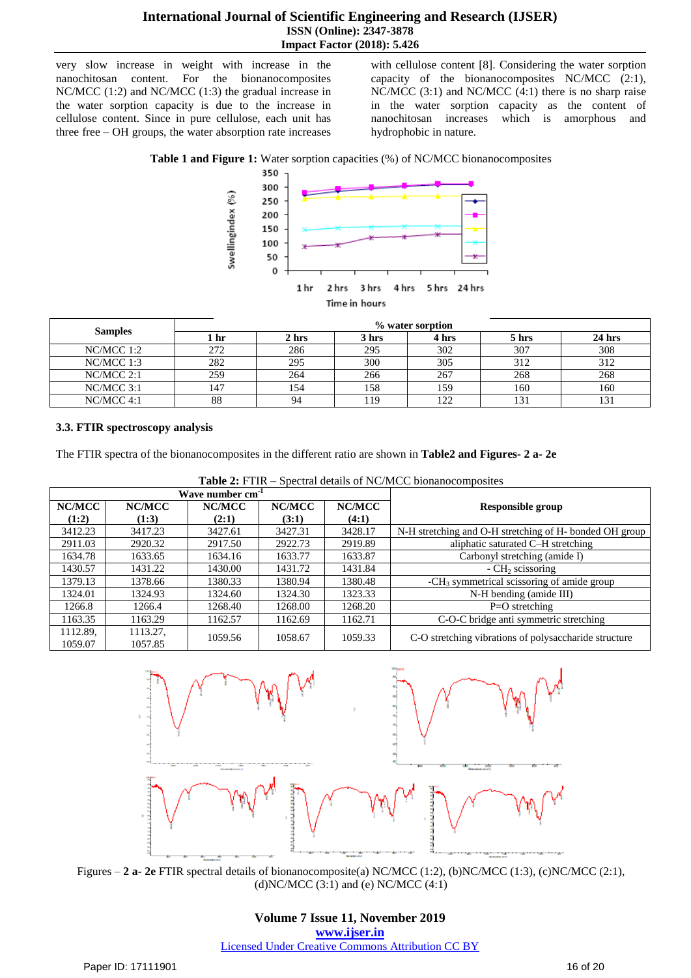very slow increase in weight with increase in the nanochitosan content. For the bionanocomposites NC/MCC (1:2) and NC/MCC (1:3) the gradual increase in the water sorption capacity is due to the increase in cellulose content. Since in pure cellulose, each unit has three free – OH groups, the water absorption rate increases

with cellulose content [8]. Considering the water sorption capacity of the bionanocomposites NC/MCC (2:1), NC/MCC (3:1) and NC/MCC (4:1) there is no sharp raise in the water sorption capacity as the content of nanochitosan increases which is amorphous and hydrophobic in nature.





| <b>Samples</b> | % water sorption |       |       |       |       |          |
|----------------|------------------|-------|-------|-------|-------|----------|
|                | 1 hr             | 2 hrs | 3 hrs | 4 hrs | 5 hrs | $24$ hrs |
| $NC/MCC$ 1:2   | 272              | 286   | 295   | 302   | 307   | 308      |
| NC/MCC 1:3     | 282              | 295   | 300   | 305   | 312   | 312      |
| $NC/MCC$ 2:1   | 259              | 264   | 266   | 267   | 268   | 268      |
| $NC/MCC$ 3:1   | 147              | 154   | 158   | 159   | 160   | 160      |
| $NC/MCC$ 4:1   | 88               | 94    | 119   | 122   |       | 131      |

## **3.3. FTIR spectroscopy analysis**

The FTIR spectra of the bionanocomposites in the different ratio are shown in **Table2 and Figures- 2 a- 2e**

| 1491¢ 2.1 111\<br>$\sigma$ because of $\sigma$ $\sim$ $\sigma$ $\sim$ $\sigma$ $\sim$ $\sigma$ $\sim$ $\sigma$ $\sim$ $\sigma$ $\sim$ $\sigma$ $\sim$ |                              |         |         |         |                                                         |
|-------------------------------------------------------------------------------------------------------------------------------------------------------|------------------------------|---------|---------|---------|---------------------------------------------------------|
|                                                                                                                                                       | Wave number cm <sup>-1</sup> |         |         |         |                                                         |
| NC/MCC                                                                                                                                                | NC/MCC                       | NC/MCC  | NC/MCC  | NC/MCC  | <b>Responsible group</b>                                |
| (1:2)                                                                                                                                                 | (1:3)                        | (2:1)   | (3:1)   | (4:1)   |                                                         |
| 3412.23                                                                                                                                               | 3417.23                      | 3427.61 | 3427.31 | 3428.17 | N-H stretching and O-H stretching of H- bonded OH group |
| 2911.03                                                                                                                                               | 2920.32                      | 2917.50 | 2922.73 | 2919.89 | aliphatic saturated C-H stretching                      |
| 1634.78                                                                                                                                               | 1633.65                      | 1634.16 | 1633.77 | 1633.87 | Carbonyl stretching (amide I)                           |
| 1430.57                                                                                                                                               | 1431.22                      | 1430.00 | 1431.72 | 1431.84 | $-CH2$ scissoring                                       |
| 1379.13                                                                                                                                               | 1378.66                      | 1380.33 | 1380.94 | 1380.48 | $-CH3$ symmetrical scissoring of amide group            |
| 1324.01                                                                                                                                               | 1324.93                      | 1324.60 | 1324.30 | 1323.33 | N-H bending (amide III)                                 |
| 1266.8                                                                                                                                                | 1266.4                       | 1268.40 | 1268.00 | 1268.20 | $P=O$ stretching                                        |
| 1163.35                                                                                                                                               | 1163.29                      | 1162.57 | 1162.69 | 1162.71 | C-O-C bridge anti symmetric stretching                  |
| 1112.89.                                                                                                                                              | 1113.27,                     | 1059.56 | 1058.67 | 1059.33 | C-O stretching vibrations of polysaccharide structure   |
| 1059.07                                                                                                                                               | 1057.85                      |         |         |         |                                                         |

**Table 2:** FTIR – Spectral details of NC/MCC bionanocomposites



Figures – **2 a- 2e** FTIR spectral details of bionanocomposite(a) NC/MCC (1:2), (b)NC/MCC (1:3), (c)NC/MCC (2:1), (d)NC/MCC  $(3:1)$  and (e) NC/MCC  $(4:1)$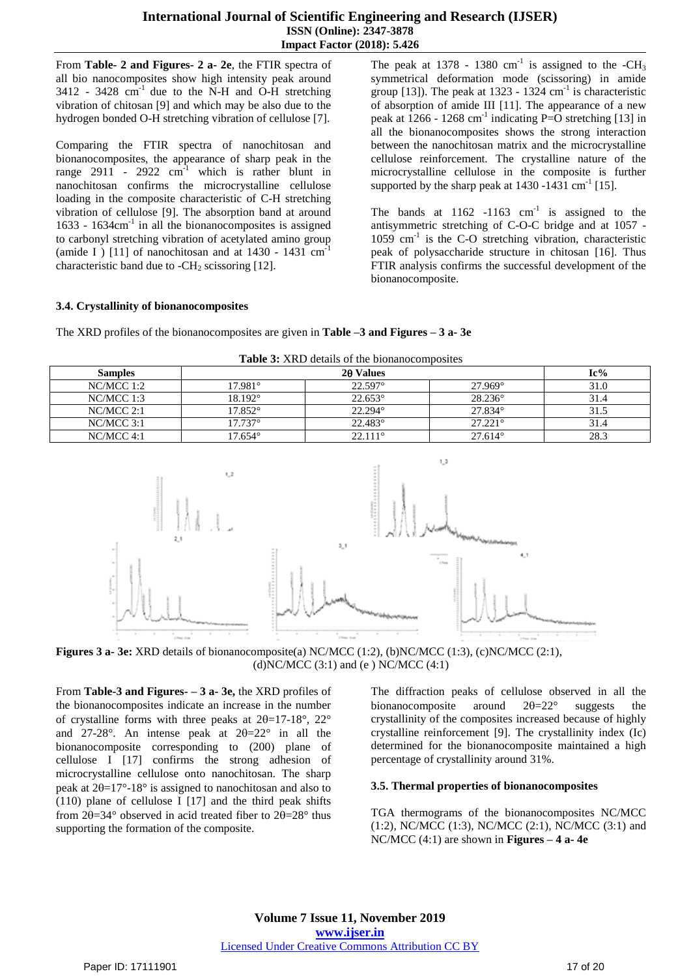## **International Journal of Scientific Engineering and Research (IJSER) ISSN (Online): 2347-3878 Impact Factor (2018): 5.426**

From **Table- 2 and Figures- 2 a- 2e**, the FTIR spectra of all bio nanocomposites show high intensity peak around  $3412$  -  $3428$  cm<sup>-1</sup> due to the N-H and O-H stretching vibration of chitosan [9] and which may be also due to the hydrogen bonded O-H stretching vibration of cellulose [7].

Comparing the FTIR spectra of nanochitosan and bionanocomposites, the appearance of sharp peak in the range 2911 - 2922  $cm^{-1}$  which is rather blunt in nanochitosan confirms the microcrystalline cellulose loading in the composite characteristic of C-H stretching vibration of cellulose [9]. The absorption band at around 1633 - 1634cm-1 in all the bionanocomposites is assigned to carbonyl stretching vibration of acetylated amino group (amide I) [11] of nanochitosan and at  $1430 - 1431$  cm<sup>-1</sup> characteristic band due to  $-CH_2$  scissoring [12].

The peak at 1378 - 1380 cm<sup>-1</sup> is assigned to the -CH<sub>3</sub> symmetrical deformation mode (scissoring) in amide group  $[13]$ ). The peak at 1323 - 1324 cm<sup>-1</sup> is characteristic of absorption of amide III [11]. The appearance of a new peak at  $1266 - 1268$  cm<sup>-1</sup> indicating P=O stretching [13] in all the bionanocomposites shows the strong interaction between the nanochitosan matrix and the microcrystalline cellulose reinforcement. The crystalline nature of the microcrystalline cellulose in the composite is further supported by the sharp peak at  $1430 - 1431$  cm<sup>-1</sup> [15].

The bands at  $1162 - 1163$  cm<sup>-1</sup> is assigned to the antisymmetric stretching of C-O-C bridge and at 1057 - 1059 cm<sup>-1</sup> is the C-O stretching vibration, characteristic peak of polysaccharide structure in chitosan [16]. Thus FTIR analysis confirms the successful development of the bionanocomposite.

#### **3.4. Crystallinity of bionanocomposites**

The XRD profiles of the bionanocomposites are given in **Table –3 and Figures – 3 a- 3e**

| <b>Table 3:</b> XRD details of the bionanocomposites |                  |                  |                  |      |  |
|------------------------------------------------------|------------------|------------------|------------------|------|--|
| <b>Samples</b>                                       |                  | 20 Values        |                  |      |  |
| NC/MCC 1:2                                           | $17.981^{\circ}$ | $22.597^{\circ}$ | $27.969^{\circ}$ | 31.0 |  |
| $NC/MCC$ 1:3                                         | $18.192^{\circ}$ | $22.653^{\circ}$ | $28.236^{\circ}$ | 31.4 |  |
| $NC/MCC$ 2:1                                         | $17.852^{\circ}$ | $22.294^{\circ}$ | $27.834^{\circ}$ | 31.5 |  |
| $NC/MCC$ 3:1                                         | $17.737^{\circ}$ | $22.483^{\circ}$ | $27.221^{\circ}$ | 31.4 |  |
| $NC/MCC$ 4:1                                         | $17.654^\circ$   | $22.111^{\circ}$ | $27.614^{\circ}$ | 28.3 |  |





From **Table-3 and Figures- – 3 a- 3e,** the XRD profiles of the bionanocomposites indicate an increase in the number of crystalline forms with three peaks at  $2\theta=17-18^{\circ}$ ,  $22^{\circ}$ and 27-28°. An intense peak at  $2\theta=22$ ° in all the bionanocomposite corresponding to (200) plane of cellulose I [17] confirms the strong adhesion of microcrystalline cellulose onto nanochitosan. The sharp peak at  $2\theta=17^{\circ}$ -18° is assigned to nanochitosan and also to (110) plane of cellulose I [17] and the third peak shifts from  $2\theta = 34^{\circ}$  observed in acid treated fiber to  $2\theta = 28^{\circ}$  thus supporting the formation of the composite.

The diffraction peaks of cellulose observed in all the bionanocomposite around  $2\theta = 22^\circ$  suggests the crystallinity of the composites increased because of highly crystalline reinforcement [9]. The crystallinity index (Ic) determined for the bionanocomposite maintained a high percentage of crystallinity around 31%.

#### **3.5. Thermal properties of bionanocomposites**

TGA thermograms of the bionanocomposites NC/MCC (1:2), NC/MCC (1:3), NC/MCC (2:1), NC/MCC (3:1) and NC/MCC  $(4:1)$  are shown in **Figures** – 4 **a**-4e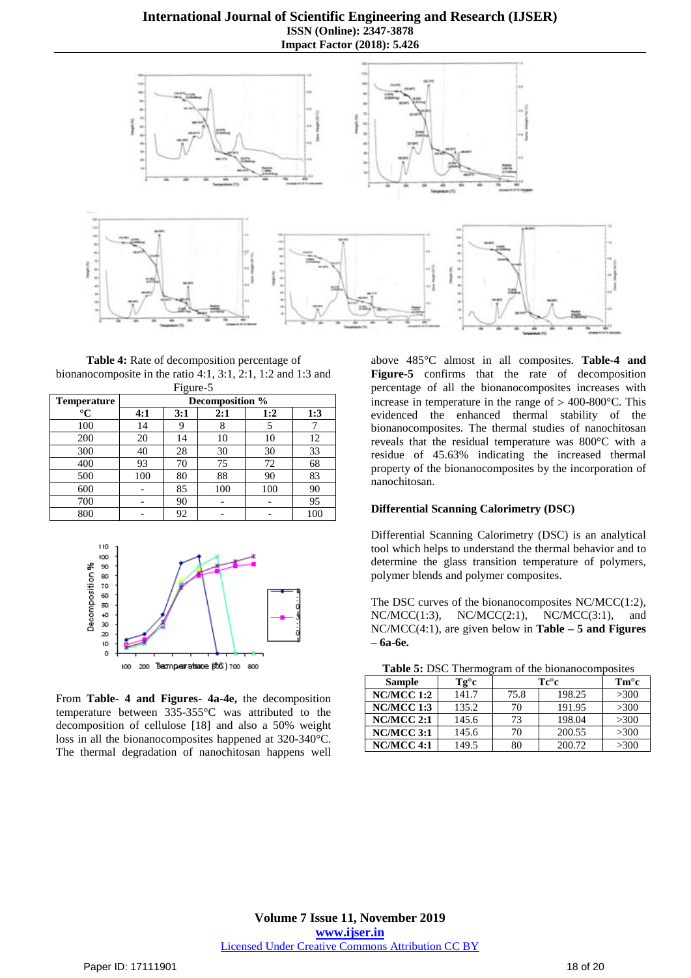## **International Journal of Scientific Engineering and Research (IJSER) ISSN (Online): 2347-3878 Impact Factor (2018): 5.426**



**Table 4:** Rate of decomposition percentage of bionanocomposite in the ratio 4:1, 3:1, 2:1, 1:2 and 1:3 and Figure-5

|             |                 | -0-- |     |     |     |
|-------------|-----------------|------|-----|-----|-----|
| Temperature | Decomposition % |      |     |     |     |
| $^{\circ}C$ | 4:1             | 3:1  | 2:1 | 1:2 | 1:3 |
| 100         | 14              |      | 8   |     |     |
| 200         | 20              | 14   | 10  | 10  | 12  |
| 300         | 40              | 28   | 30  | 30  | 33  |
| 400         | 93              | 70   | 75  | 72  | 68  |
| 500         | 100             | 80   | 88  | 90  | 83  |
| 600         |                 | 85   | 100 | 100 | 90  |
| 700         |                 | 90   |     |     | 95  |
| 800         |                 | 92   |     |     | 100 |



From **Table- 4 and Figures- 4a-4e,** the decomposition temperature between 335-355°C was attributed to the decomposition of cellulose [18] and also a 50% weight loss in all the bionanocomposites happened at 320-340°C. The thermal degradation of nanochitosan happens well

above 485°C almost in all composites. **Table-4 and Figure-5** confirms that the rate of decomposition percentage of all the bionanocomposites increases with increase in temperature in the range of  $> 400-800$ °C. This evidenced the enhanced thermal stability of the bionanocomposites. The thermal studies of nanochitosan reveals that the residual temperature was 800°C with a residue of 45.63% indicating the increased thermal property of the bionanocomposites by the incorporation of nanochitosan.

#### **Differential Scanning Calorimetry (DSC)**

Differential Scanning Calorimetry (DSC) is an analytical tool which helps to understand the thermal behavior and to determine the glass transition temperature of polymers, polymer blends and polymer composites.

The DSC curves of the bionanocomposites NC/MCC(1:2),  $NC/MCC(1:3)$ ,  $NC/MCC(2:1)$ ,  $NC/MCC(3:1)$ , and NC/MCC(4:1), are given below in **Table – 5 and Figures – 6a-6e.**

|  | Table 5: DSC Thermogram of the bionanocomposites |  |  |  |
|--|--------------------------------------------------|--|--|--|
|--|--------------------------------------------------|--|--|--|

| <b>Sample</b>     | Tg°c  | $Te^{\circ}c$ | $\mathbf{Tm}^{\circ}\mathbf{c}$ |      |  |  |
|-------------------|-------|---------------|---------------------------------|------|--|--|
| <b>NC/MCC 1:2</b> | 141.7 | 75.8          | 198.25                          | >300 |  |  |
| NC/MCC 1:3        | 135.2 | 70            | 191.95                          | >300 |  |  |
| $NC/MCC$ 2:1      | 145.6 | 73            | 198.04                          | >300 |  |  |
| $NC/MCC$ 3:1      | 145.6 | 70            | 200.55                          | >300 |  |  |
| NC/MCC 4:1        | 149.5 | 80            | 200.72                          | >300 |  |  |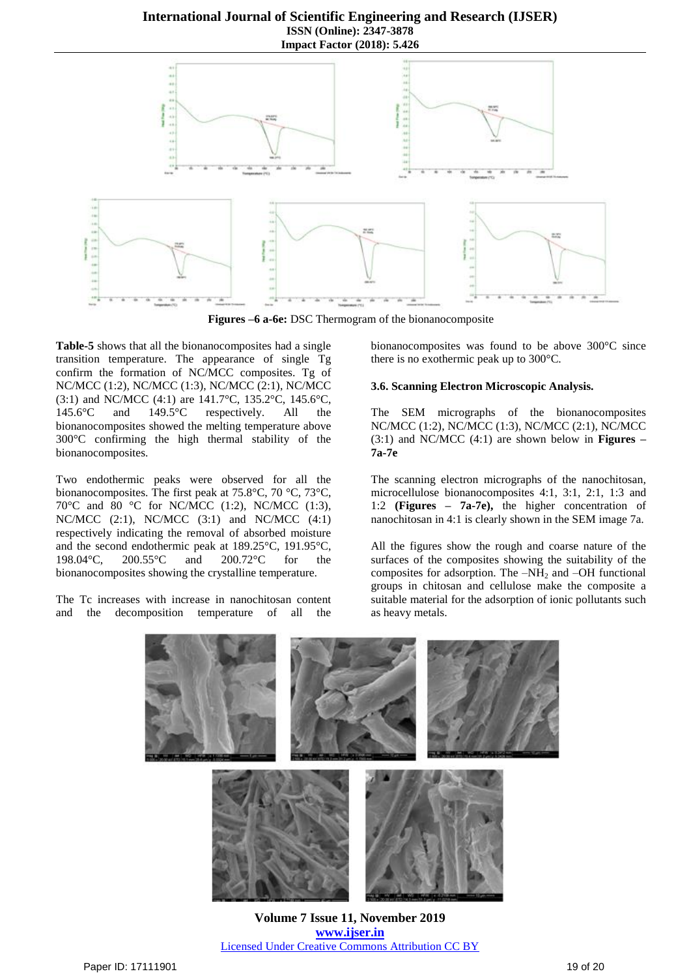## **International Journal of Scientific Engineering and Research (IJSER) ISSN (Online): 2347-3878 Impact Factor (2018): 5.426**



**Figures –6 a-6e:** DSC Thermogram of the bionanocomposite

**Table-5** shows that all the bionanocomposites had a single transition temperature. The appearance of single Tg confirm the formation of NC/MCC composites. Tg of NC/MCC (1:2), NC/MCC (1:3), NC/MCC (2:1), NC/MCC (3:1) and NC/MCC (4:1) are 141.7°C, 135.2°C, 145.6°C, 145.6°C and 149.5°C respectively. All the bionanocomposites showed the melting temperature above 300°C confirming the high thermal stability of the bionanocomposites.

Two endothermic peaks were observed for all the bionanocomposites. The first peak at 75.8°C, 70 °C, 73°C, 70 $^{\circ}$ C and 80  $^{\circ}$ C for NC/MCC (1:2), NC/MCC (1:3), NC/MCC (2:1), NC/MCC (3:1) and NC/MCC (4:1) respectively indicating the removal of absorbed moisture and the second endothermic peak at 189.25°C, 191.95°C, 198.04°C, 200.55°C and 200.72°C for the bionanocomposites showing the crystalline temperature.

The Tc increases with increase in nanochitosan content and the decomposition temperature of all the

bionanocomposites was found to be above 300°C since there is no exothermic peak up to 300°C.

#### **3.6. Scanning Electron Microscopic Analysis.**

The SEM micrographs of the bionanocomposites NC/MCC (1:2), NC/MCC (1:3), NC/MCC (2:1), NC/MCC (3:1) and NC/MCC (4:1) are shown below in **Figures – 7a-7e**

The scanning electron micrographs of the nanochitosan, microcellulose bionanocomposites 4:1, 3:1, 2:1, 1:3 and 1:2 **(Figures – 7a-7e),** the higher concentration of nanochitosan in 4:1 is clearly shown in the SEM image 7a.

All the figures show the rough and coarse nature of the surfaces of the composites showing the suitability of the composites for adsorption. The  $-NH<sub>2</sub>$  and  $-OH$  functional groups in chitosan and cellulose make the composite a suitable material for the adsorption of ionic pollutants such as heavy metals.



**Volume 7 Issue 11, November 2019 www.ijser.in** Licensed Under Creative Commons Attribution CC BY